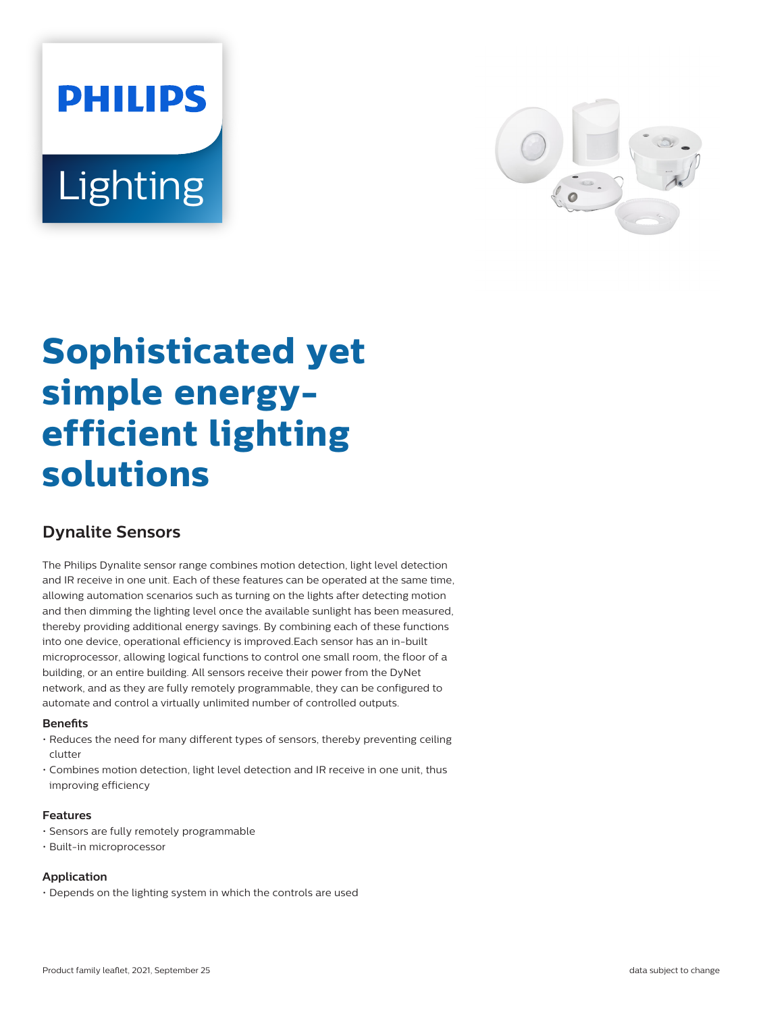# **PHILIPS** Lighting



# **Sophisticated yet simple energyefficient lighting solutions**

## **Dynalite Sensors**

The Philips Dynalite sensor range combines motion detection, light level detection and IR receive in one unit. Each of these features can be operated at the same time, allowing automation scenarios such as turning on the lights after detecting motion and then dimming the lighting level once the available sunlight has been measured, thereby providing additional energy savings. By combining each of these functions into one device, operational efficiency is improved.Each sensor has an in-built microprocessor, allowing logical functions to control one small room, the floor of a building, or an entire building. All sensors receive their power from the DyNet network, and as they are fully remotely programmable, they can be configured to automate and control a virtually unlimited number of controlled outputs.

#### **Benets**

- Reduces the need for many different types of sensors, thereby preventing ceiling clutter
- Combines motion detection, light level detection and IR receive in one unit, thus improving efficiency

#### **Features**

- Sensors are fully remotely programmable
- Built-in microprocessor

#### **Application**

• Depends on the lighting system in which the controls are used